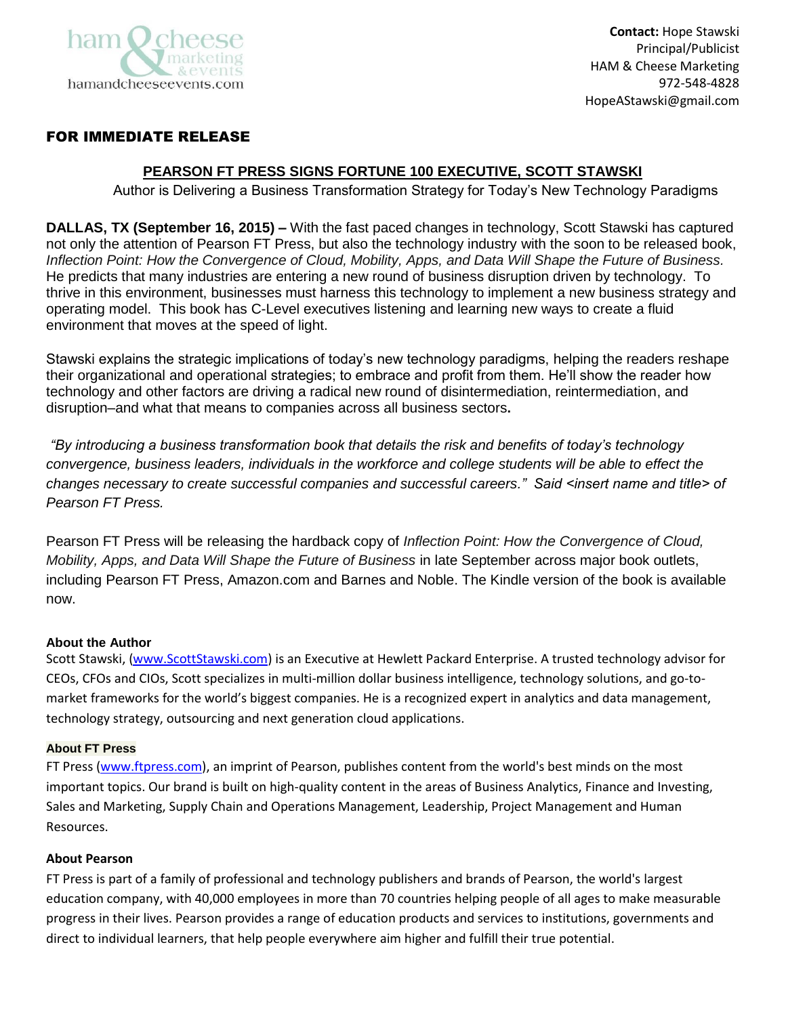

# FOR IMMEDIATE RELEASE

## **PEARSON FT PRESS SIGNS FORTUNE 100 EXECUTIVE, SCOTT STAWSKI**

Author is Delivering a Business Transformation Strategy for Today's New Technology Paradigms

**DALLAS, TX (September 16, 2015) –** With the fast paced changes in technology, Scott Stawski has captured not only the attention of Pearson FT Press, but also the technology industry with the soon to be released book, *Inflection Point: How the Convergence of Cloud, Mobility, Apps, and Data Will Shape the Future of Business.* He predicts that many industries are entering a new round of business disruption driven by technology. To thrive in this environment, businesses must harness this technology to implement a new business strategy and operating model. This book has C-Level executives listening and learning new ways to create a fluid environment that moves at the speed of light.

Stawski explains the strategic implications of today's new technology paradigms, helping the readers reshape their organizational and operational strategies; to embrace and profit from them. He'll show the reader how technology and other factors are driving a radical new round of disintermediation, reintermediation, and disruption–and what that means to companies across all business sectors**.**

*"By introducing a business transformation book that details the risk and benefits of today's technology convergence, business leaders, individuals in the workforce and college students will be able to effect the changes necessary to create successful companies and successful careers." Said <insert name and title> of Pearson FT Press.* 

Pearson FT Press will be releasing the hardback copy of *Inflection Point: How the Convergence of Cloud, Mobility, Apps, and Data Will Shape the Future of Business* in late September across major book outlets, including Pearson FT Press, Amazon.com and Barnes and Noble. The Kindle version of the book is available now.

### **About the Author**

Scott Stawski, [\(www.ScottStawski.com\)](http://www.scottstawski.com/) is an Executive at Hewlett Packard Enterprise. A trusted technology advisor for CEOs, CFOs and CIOs, Scott specializes in multi-million dollar business intelligence, technology solutions, and go-tomarket frameworks for the world's biggest companies. He is a recognized expert in analytics and data management, technology strategy, outsourcing and next generation cloud applications.

### **About FT Press**

FT Press [\(www.ftpress.com\)](http://www.ftpress.com/), an imprint of Pearson, publishes content from the world's best minds on the most important topics. Our brand is built on high-quality content in the areas of Business Analytics, Finance and Investing, Sales and Marketing, Supply Chain and Operations Management, Leadership, Project Management and Human Resources.

### **About Pearson**

FT Press is part of a family of professional and technology publishers and brands of Pearson, the world's largest education company, with 40,000 employees in more than 70 countries helping people of all ages to make measurable progress in their lives. Pearson provides a range of education products and services to institutions, governments and direct to individual learners, that help people everywhere aim higher and fulfill their true potential.